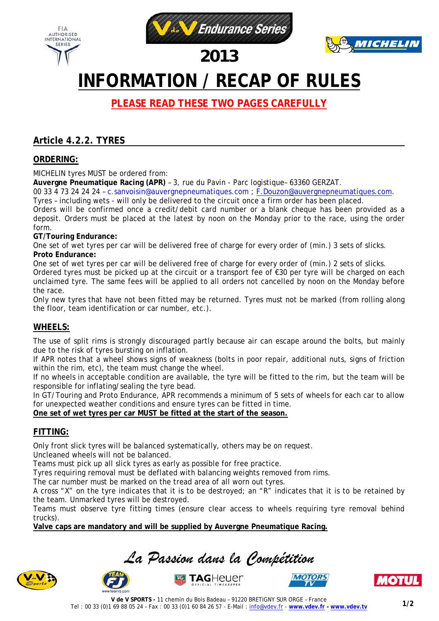



## *2013*

# **INFORMATION / RECAP OF RULES**

**PLEASE READ THESE TWO PAGES CAREFULLY** 

### **Article 4.2.2. TYRES**

#### **ORDERING:**

FIA **AUTHORISED** INTERNATIONAL

**SERIES** 

MICHELIN tyres MUST be ordered from:

**Auvergne Pneumatique Racing (APR)** – 3, rue du Pavin - Parc logistique– 63360 GERZAT.

00 33 4 73 24 24 24 – c.sanvoisin@auvergnepneumatiques.com ; F.Douzon@auvergnepneumatiques.com.

Tyres – including wets - will only be delivered to the circuit once a firm order has been placed.

Orders will be confirmed once a credit/debit card number or a blank cheque has been provided as a deposit. Orders must be placed at the latest by noon on the Monday prior to the race, using the order form.

#### **GT/Touring Endurance:**

One set of wet tyres per car will be delivered free of charge for every order of (min.) 3 sets of slicks. **Proto Endurance:** 

One set of wet tyres per car will be delivered free of charge for every order of (min.) 2 sets of slicks. Ordered tyres must be picked up at the circuit or a transport fee of €30 per tyre will be charged on each unclaimed tyre. The same fees will be applied to all orders not cancelled by noon on the Monday before the race.

Only new tyres that have not been fitted may be returned. Tyres must not be marked (from rolling along the floor, team identification or car number, etc.).

#### **WHEELS:**

The use of split rims is strongly discouraged partly because air can escape around the bolts, but mainly due to the risk of tyres bursting on inflation.

If APR notes that a wheel shows signs of weakness (bolts in poor repair, additional nuts, signs of friction within the rim, etc), the team must change the wheel.

If no wheels in acceptable condition are available, the tyre will be fitted to the rim, but the team will be responsible for inflating/sealing the tyre bead.

In GT/Touring and Proto Endurance, APR recommends a minimum of 5 sets of wheels for each car to allow for unexpected weather conditions and ensure tyres can be fitted in time.

**One set of wet tyres per car MUST be fitted at the start of the season.** 

#### **FITTING:**

Only front slick tyres will be balanced systematically, others may be on request.

Uncleaned wheels will not be balanced.

Teams must pick up all slick tyres as early as possible for free practice.

Tyres requiring removal must be deflated with balancing weights removed from rims.

The car number must be marked on the tread area of all worn out tyres.

A cross "X" on the tyre indicates that it is to be destroyed; an "R" indicates that it is to be retained by the team. Unmarked tyres will be destroyed.

Teams must observe tyre fitting times (ensure clear access to wheels requiring tyre removal behind trucks).

**Valve caps are mandatory and will be supplied by Auvergne Pneumatique Racing.** 











**TAG**Heuer